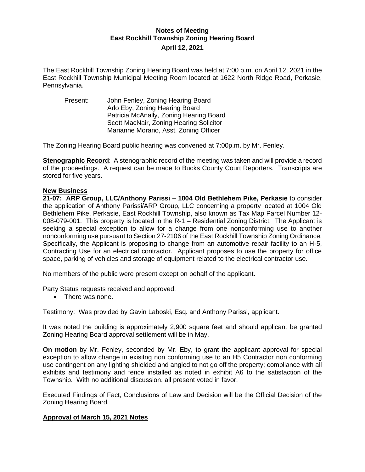## **Notes of Meeting East Rockhill Township Zoning Hearing Board April 12, 2021**

The East Rockhill Township Zoning Hearing Board was held at 7:00 p.m. on April 12, 2021 in the East Rockhill Township Municipal Meeting Room located at 1622 North Ridge Road, Perkasie, Pennsylvania.

Present: John Fenley, Zoning Hearing Board Arlo Eby, Zoning Hearing Board Patricia McAnally, Zoning Hearing Board Scott MacNair, Zoning Hearing Solicitor Marianne Morano, Asst. Zoning Officer

The Zoning Hearing Board public hearing was convened at 7:00p.m. by Mr. Fenley.

**Stenographic Record**: A stenographic record of the meeting was taken and will provide a record of the proceedings. A request can be made to Bucks County Court Reporters. Transcripts are stored for five years.

## **New Business**

**21-07: ARP Group, LLC/Anthony Parissi – 1004 Old Bethlehem Pike, Perkasie** to consider the application of Anthony Parissi/ARP Group, LLC concerning a property located at 1004 Old Bethlehem Pike, Perkasie, East Rockhill Township, also known as Tax Map Parcel Number 12- 008-079-001. This property is located in the R-1 – Residential Zoning District. The Applicant is seeking a special exception to allow for a change from one nonconforming use to another nonconforming use pursuant to Section 27-2106 of the East Rockhill Township Zoning Ordinance. Specifically, the Applicant is proposing to change from an automotive repair facility to an H-5, Contracting Use for an electrical contractor. Applicant proposes to use the property for office space, parking of vehicles and storage of equipment related to the electrical contractor use.

No members of the public were present except on behalf of the applicant.

Party Status requests received and approved:

• There was none.

Testimony: Was provided by Gavin Laboski, Esq. and Anthony Parissi, applicant.

It was noted the building is approximately 2,900 square feet and should applicant be granted Zoning Hearing Board approval settlement will be in May.

**On motion** by Mr. Fenley, seconded by Mr. Eby, to grant the applicant approval for special exception to allow change in exisitng non conforming use to an H5 Contractor non conforming use contingent on any lighting shielded and angled to not go off the property; compliance with all exhibits and testimony and fence installed as noted in exhibit A6 to the satisfaction of the Township. With no additional discussion, all present voted in favor.

Executed Findings of Fact, Conclusions of Law and Decision will be the Official Decision of the Zoning Hearing Board.

## **Approval of March 15, 2021 Notes**